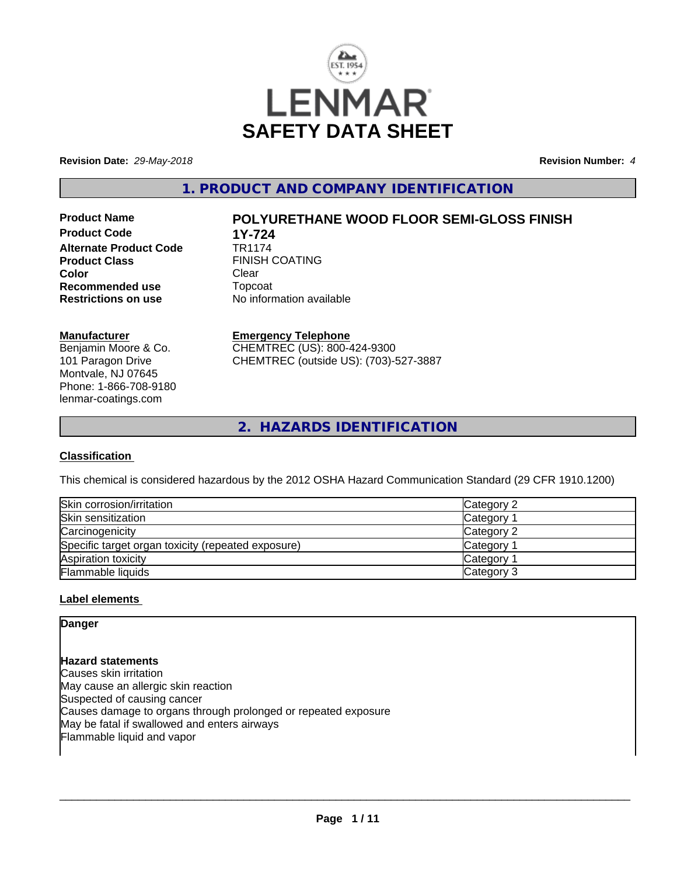

**Revision Date:** *29-May-2018* **Revision Number:** *4*

**1. PRODUCT AND COMPANY IDENTIFICATION**

**Product Code 1Y-724**<br>**Alternate Product Code 1R1174 Alternate Product Code Product Class FINISH COATING Color** Clear Clear **Recommended use Topcoat Restrictions on use Theory Network** 

# **Product Name POLYURETHANE WOOD FLOOR SEMI-GLOSS FINISH**

**Restrictions on use** No information available

### **Manufacturer**

Benjamin Moore & Co. 101 Paragon Drive Montvale, NJ 07645 Phone: 1-866-708-9180 lenmar-coatings.com

# **Emergency Telephone**

CHEMTREC (US): 800-424-9300 CHEMTREC (outside US): (703)-527-3887

**2. HAZARDS IDENTIFICATION**

## **Classification**

This chemical is considered hazardous by the 2012 OSHA Hazard Communication Standard (29 CFR 1910.1200)

| Skin corrosion/irritation                          | Category 2 |
|----------------------------------------------------|------------|
| Skin sensitization                                 | Category   |
| Carcinogenicity                                    | Category 2 |
| Specific target organ toxicity (repeated exposure) | Category   |
| Aspiration toxicity                                | Category   |
| Flammable liquids                                  | Category 3 |

## **Label elements**

## **Danger**

**Hazard statements** Causes skin irritation May cause an allergic skin reaction Suspected of causing cancer Causes damage to organs through prolonged or repeated exposure May be fatal if swallowed and enters airways Flammable liquid and vapor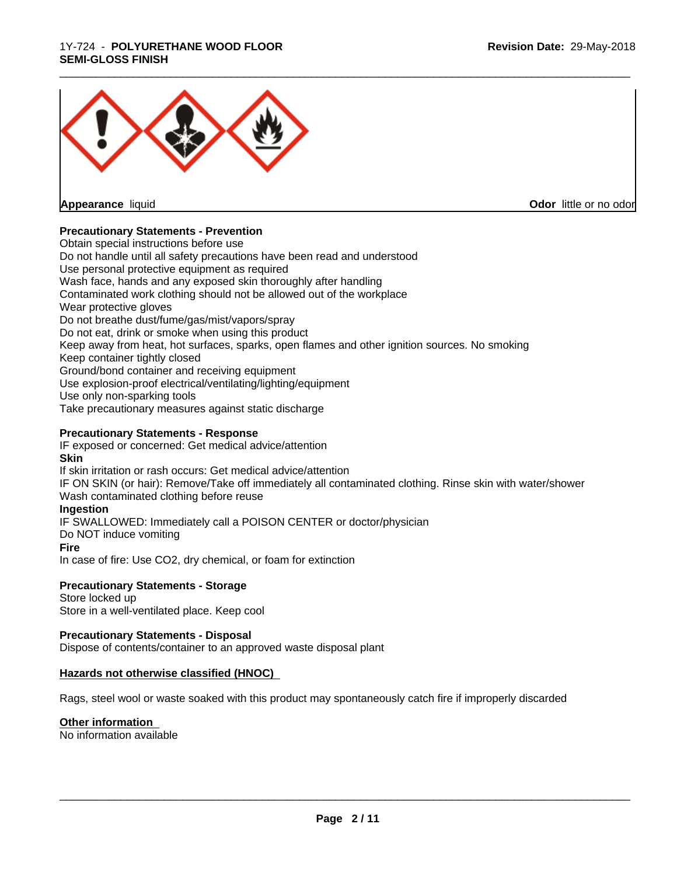#### 1Y-724 - **POLYURETHANE WOOD FLOOR SEMI-GLOSS FINISH**



**Appearance** liquid

**Odor** little or no odor

## **Precautionary Statements - Prevention**

Obtain special instructions before use Do not handle until all safety precautions have been read and understood Use personal protective equipment as required Wash face, hands and any exposed skin thoroughly after handling Contaminated work clothing should not be allowed out of the workplace Wear protective gloves Do not breathe dust/fume/gas/mist/vapors/spray Do not eat, drink or smoke when using this product Keep away from heat, hot surfaces, sparks, open flames and other ignition sources. No smoking Keep container tightly closed Ground/bond container and receiving equipment Use explosion-proof electrical/ventilating/lighting/equipment Use only non-sparking tools Take precautionary measures against static discharge

## **Precautionary Statements - Response**

IF exposed or concerned: Get medical advice/attention **Skin** If skin irritation or rash occurs: Get medical advice/attention

IF ON SKIN (or hair): Remove/Take off immediately all contaminated clothing. Rinse skin with water/shower Wash contaminated clothing before reuse

#### **Ingestion**

IF SWALLOWED: Immediately call a POISON CENTER or doctor/physician

Do NOT induce vomiting

#### **Fire**

In case of fire: Use CO2, dry chemical, or foam for extinction

#### **Precautionary Statements - Storage**

Store locked up Store in a well-ventilated place. Keep cool

#### **Precautionary Statements - Disposal**

Dispose of contents/container to an approved waste disposal plant

#### **Hazards not otherwise classified (HNOC)**

Rags, steel wool or waste soaked with this product may spontaneously catch fire if improperly discarded

#### **Other information**

No information available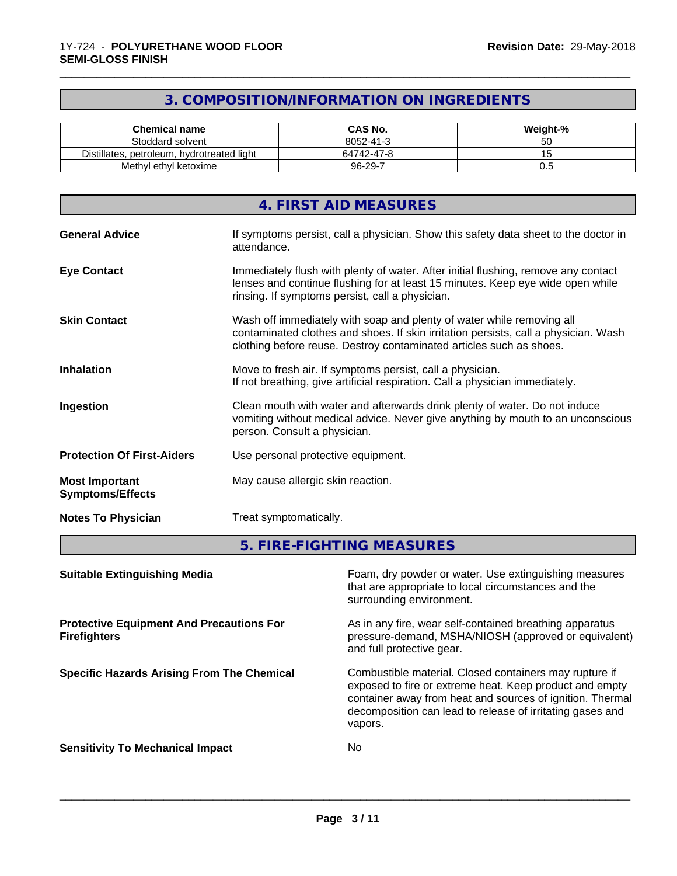# **3. COMPOSITION/INFORMATION ON INGREDIENTS**

\_\_\_\_\_\_\_\_\_\_\_\_\_\_\_\_\_\_\_\_\_\_\_\_\_\_\_\_\_\_\_\_\_\_\_\_\_\_\_\_\_\_\_\_\_\_\_\_\_\_\_\_\_\_\_\_\_\_\_\_\_\_\_\_\_\_\_\_\_\_\_\_\_\_\_\_\_\_\_\_\_\_\_\_\_\_\_\_\_\_\_\_\_

| <b>Chemical name</b>                             | CAS No.    | Weight-% |
|--------------------------------------------------|------------|----------|
| Stoddard solvent                                 | 8052-41-3  | ັບ       |
| Distillates,<br>s. petroleum. hvdrotreated light | 64742-47-8 | $\cdot$  |
| Methyl ethyl ketoxime                            | 96-29-7    | v.u      |

| 4. FIRST AID MEASURES                                                                                                                                                                                                                                      |
|------------------------------------------------------------------------------------------------------------------------------------------------------------------------------------------------------------------------------------------------------------|
| If symptoms persist, call a physician. Show this safety data sheet to the doctor in<br><b>General Advice</b><br>attendance.                                                                                                                                |
| Immediately flush with plenty of water. After initial flushing, remove any contact<br><b>Eye Contact</b><br>lenses and continue flushing for at least 15 minutes. Keep eye wide open while<br>rinsing. If symptoms persist, call a physician.              |
| Wash off immediately with soap and plenty of water while removing all<br><b>Skin Contact</b><br>contaminated clothes and shoes. If skin irritation persists, call a physician. Wash<br>clothing before reuse. Destroy contaminated articles such as shoes. |
| <b>Inhalation</b><br>Move to fresh air. If symptoms persist, call a physician.<br>If not breathing, give artificial respiration. Call a physician immediately.                                                                                             |
| Clean mouth with water and afterwards drink plenty of water. Do not induce<br>Ingestion<br>vomiting without medical advice. Never give anything by mouth to an unconscious<br>person. Consult a physician.                                                 |
| <b>Protection Of First-Aiders</b><br>Use personal protective equipment.                                                                                                                                                                                    |
| May cause allergic skin reaction.<br><b>Most Important</b><br><b>Symptoms/Effects</b>                                                                                                                                                                      |
| <b>Notes To Physician</b><br>Treat symptomatically.                                                                                                                                                                                                        |

**5. FIRE-FIGHTING MEASURES**

| <b>Suitable Extinguishing Media</b>                                    | Foam, dry powder or water. Use extinguishing measures<br>that are appropriate to local circumstances and the<br>surrounding environment.                                                                                                               |
|------------------------------------------------------------------------|--------------------------------------------------------------------------------------------------------------------------------------------------------------------------------------------------------------------------------------------------------|
| <b>Protective Equipment And Precautions For</b><br><b>Firefighters</b> | As in any fire, wear self-contained breathing apparatus<br>pressure-demand, MSHA/NIOSH (approved or equivalent)<br>and full protective gear.                                                                                                           |
| <b>Specific Hazards Arising From The Chemical</b>                      | Combustible material. Closed containers may rupture if<br>exposed to fire or extreme heat. Keep product and empty<br>container away from heat and sources of ignition. Thermal<br>decomposition can lead to release of irritating gases and<br>vapors. |
| <b>Sensitivity To Mechanical Impact</b>                                | No                                                                                                                                                                                                                                                     |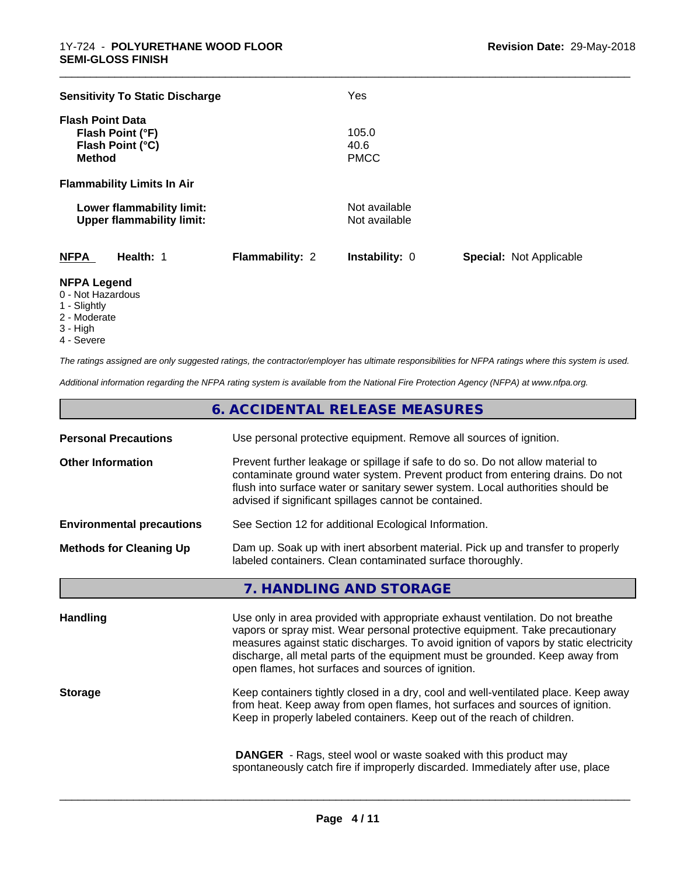| <b>Sensitivity To Static Discharge</b>                                           |                        | Yes                            |                                |
|----------------------------------------------------------------------------------|------------------------|--------------------------------|--------------------------------|
| <b>Flash Point Data</b><br>Flash Point (°F)<br>Flash Point (°C)<br><b>Method</b> |                        | 105.0<br>40.6<br><b>PMCC</b>   |                                |
| <b>Flammability Limits In Air</b>                                                |                        |                                |                                |
| Lower flammability limit:<br><b>Upper flammability limit:</b>                    |                        | Not available<br>Not available |                                |
| <b>NFPA</b><br>Health: 1                                                         | <b>Flammability: 2</b> | <b>Instability: 0</b>          | <b>Special: Not Applicable</b> |

\_\_\_\_\_\_\_\_\_\_\_\_\_\_\_\_\_\_\_\_\_\_\_\_\_\_\_\_\_\_\_\_\_\_\_\_\_\_\_\_\_\_\_\_\_\_\_\_\_\_\_\_\_\_\_\_\_\_\_\_\_\_\_\_\_\_\_\_\_\_\_\_\_\_\_\_\_\_\_\_\_\_\_\_\_\_\_\_\_\_\_\_\_

#### **NFPA Legend**

- 0 Not Hazardous
- 1 Slightly
- 2 Moderate
- 3 High
- 4 Severe

*The ratings assigned are only suggested ratings, the contractor/employer has ultimate responsibilities for NFPA ratings where this system is used.*

*Additional information regarding the NFPA rating system is available from the National Fire Protection Agency (NFPA) at www.nfpa.org.*

# **6. ACCIDENTAL RELEASE MEASURES**

| <b>Personal Precautions</b>      | Use personal protective equipment. Remove all sources of ignition.                                                                                                                                                                                                                                                                                                                            |  |
|----------------------------------|-----------------------------------------------------------------------------------------------------------------------------------------------------------------------------------------------------------------------------------------------------------------------------------------------------------------------------------------------------------------------------------------------|--|
| <b>Other Information</b>         | Prevent further leakage or spillage if safe to do so. Do not allow material to<br>contaminate ground water system. Prevent product from entering drains. Do not<br>flush into surface water or sanitary sewer system. Local authorities should be<br>advised if significant spillages cannot be contained.                                                                                    |  |
| <b>Environmental precautions</b> | See Section 12 for additional Ecological Information.                                                                                                                                                                                                                                                                                                                                         |  |
| <b>Methods for Cleaning Up</b>   | Dam up. Soak up with inert absorbent material. Pick up and transfer to properly<br>labeled containers. Clean contaminated surface thoroughly.                                                                                                                                                                                                                                                 |  |
|                                  | 7. HANDLING AND STORAGE                                                                                                                                                                                                                                                                                                                                                                       |  |
| <b>Handling</b>                  | Use only in area provided with appropriate exhaust ventilation. Do not breathe<br>vapors or spray mist. Wear personal protective equipment. Take precautionary<br>measures against static discharges. To avoid ignition of vapors by static electricity<br>discharge, all metal parts of the equipment must be grounded. Keep away from<br>open flames, hot surfaces and sources of ignition. |  |
| <b>Storage</b>                   | Keep containers tightly closed in a dry, cool and well-ventilated place. Keep away<br>from heat. Keep away from open flames, hot surfaces and sources of ignition.<br>Keep in properly labeled containers. Keep out of the reach of children.                                                                                                                                                 |  |
|                                  | <b>DANGER</b> - Rags, steel wool or waste soaked with this product may<br>spontaneously catch fire if improperly discarded. Immediately after use, place                                                                                                                                                                                                                                      |  |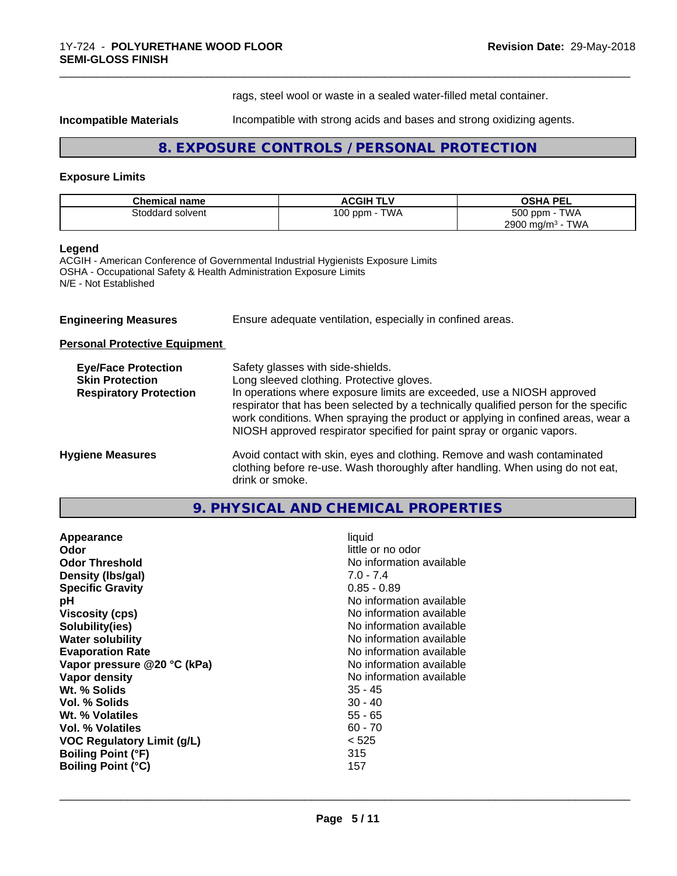rags, steel wool or waste in a sealed water-filled metal container.

**Incompatible Materials** Incompatible with strong acids and bases and strong oxidizing agents.

\_\_\_\_\_\_\_\_\_\_\_\_\_\_\_\_\_\_\_\_\_\_\_\_\_\_\_\_\_\_\_\_\_\_\_\_\_\_\_\_\_\_\_\_\_\_\_\_\_\_\_\_\_\_\_\_\_\_\_\_\_\_\_\_\_\_\_\_\_\_\_\_\_\_\_\_\_\_\_\_\_\_\_\_\_\_\_\_\_\_\_\_\_

# **8. EXPOSURE CONTROLS / PERSONAL PROTECTION**

## **Exposure Limits**

| <b>Chemical name</b> | <b>ACGIH TLV</b>   | <b>OSHA PEL</b>               |
|----------------------|--------------------|-------------------------------|
| Stoddard solvent     | TWA<br>100 ppm - 1 | <b>TWA</b><br>500 ppm -       |
|                      |                    | TWA<br>2900 mg/m <sup>3</sup> |

#### **Legend**

ACGIH - American Conference of Governmental Industrial Hygienists Exposure Limits OSHA - Occupational Safety & Health Administration Exposure Limits N/E - Not Established

| <b>Engineering Measures</b> | Ensure adequate ventilation, especially in confined areas. |  |
|-----------------------------|------------------------------------------------------------|--|
|-----------------------------|------------------------------------------------------------|--|

**Personal Protective Equipment**

| <b>Eye/Face Protection</b><br><b>Skin Protection</b><br><b>Respiratory Protection</b> | Safety glasses with side-shields.<br>Long sleeved clothing. Protective gloves.<br>In operations where exposure limits are exceeded, use a NIOSH approved<br>respirator that has been selected by a technically qualified person for the specific<br>work conditions. When spraying the product or applying in confined areas, wear a<br>NIOSH approved respirator specified for paint spray or organic vapors. |
|---------------------------------------------------------------------------------------|----------------------------------------------------------------------------------------------------------------------------------------------------------------------------------------------------------------------------------------------------------------------------------------------------------------------------------------------------------------------------------------------------------------|
| <b>Hygiene Measures</b>                                                               | Avoid contact with skin, eyes and clothing. Remove and wash contaminated<br>clothing before re-use. Wash thoroughly after handling. When using do not eat,<br>drink or smoke.                                                                                                                                                                                                                                  |

# **9. PHYSICAL AND CHEMICAL PROPERTIES**

| liquid<br>little or no odor<br>No information available<br>$7.0 - 7.4$<br>$0.85 - 0.89$<br>No information available<br>No information available<br>No information available<br>No information available<br>No information available<br>No information available<br>No information available<br>35 - 45<br>$30 - 40$<br>55 - 65<br>$60 - 70$<br>< 525<br>315 |
|-------------------------------------------------------------------------------------------------------------------------------------------------------------------------------------------------------------------------------------------------------------------------------------------------------------------------------------------------------------|
| 157                                                                                                                                                                                                                                                                                                                                                         |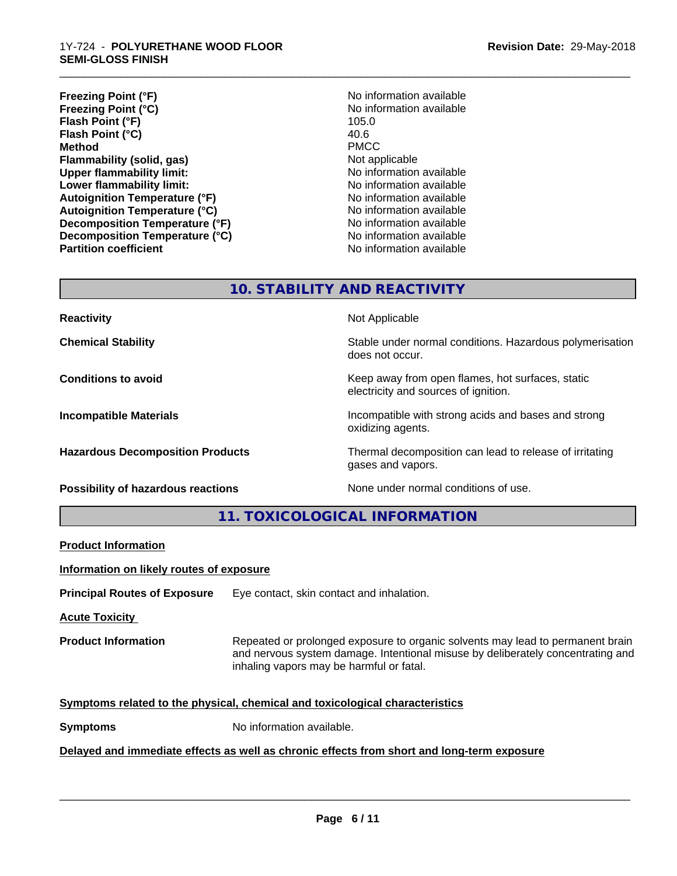- **Freezing Point (°F)**<br> **Freezing Point (°C)**<br> **Freezing Point (°C)**<br> **No** information available **Freezing Point (°C)** No information available to the North North North 105.0<br> **Flash Point (°F)** 105.0 **Flash Point (°F) Flash Point (°C)** 40.6 **Method** PMCC **Flammability (solid, gas)** Not applicable **Upper flammability limit:** No information available **Lower flammability limit:**<br> **Autoignition Temperature (°F)** No information available **Autoignition Temperature (°F) Autoignition Temperature (°C)** No information available **Decomposition Temperature (°F)** No information available **Decomposition Temperature (°C)** No information available **Partition coefficient** No information available
- \_\_\_\_\_\_\_\_\_\_\_\_\_\_\_\_\_\_\_\_\_\_\_\_\_\_\_\_\_\_\_\_\_\_\_\_\_\_\_\_\_\_\_\_\_\_\_\_\_\_\_\_\_\_\_\_\_\_\_\_\_\_\_\_\_\_\_\_\_\_\_\_\_\_\_\_\_\_\_\_\_\_\_\_\_\_\_\_\_\_\_\_\_ **Revision Date:** 29-May-2018
	-

# **10. STABILITY AND REACTIVITY**

**Reactivity Not Applicable Not Applicable** 

**Chemical Stability Stability** Stable under normal conditions. Hazardous polymerisation does not occur.

**Conditions to avoid Keep away from open flames, hot surfaces, static Conditions to avoid Keep away from open flames**, hot surfaces, static electricity and sources of ignition.

**Incompatible Materials Incompatible with strong acids and bases and strong** oxidizing agents.

**Hazardous Decomposition Products** Thermal decomposition can lead to release of irritating gases and vapors.

**Possibility of hazardous reactions** None under normal conditions of use.

**11. TOXICOLOGICAL INFORMATION**

**Product Information**

**Information on likely routes of exposure**

**Principal Routes of Exposure** Eye contact, skin contact and inhalation.

**Acute Toxicity** 

**Product Information** Repeated or prolonged exposure to organic solvents may lead to permanent brain and nervous system damage. Intentional misuse by deliberately concentrating and inhaling vapors may be harmful or fatal.

 $\overline{\phantom{a}}$  ,  $\overline{\phantom{a}}$  ,  $\overline{\phantom{a}}$  ,  $\overline{\phantom{a}}$  ,  $\overline{\phantom{a}}$  ,  $\overline{\phantom{a}}$  ,  $\overline{\phantom{a}}$  ,  $\overline{\phantom{a}}$  ,  $\overline{\phantom{a}}$  ,  $\overline{\phantom{a}}$  ,  $\overline{\phantom{a}}$  ,  $\overline{\phantom{a}}$  ,  $\overline{\phantom{a}}$  ,  $\overline{\phantom{a}}$  ,  $\overline{\phantom{a}}$  ,  $\overline{\phantom{a}}$ 

#### **Symptoms related to the physical,chemical and toxicological characteristics**

**Symptoms** No information available.

# **Delayed and immediate effects as well as chronic effects from short and long-term exposure**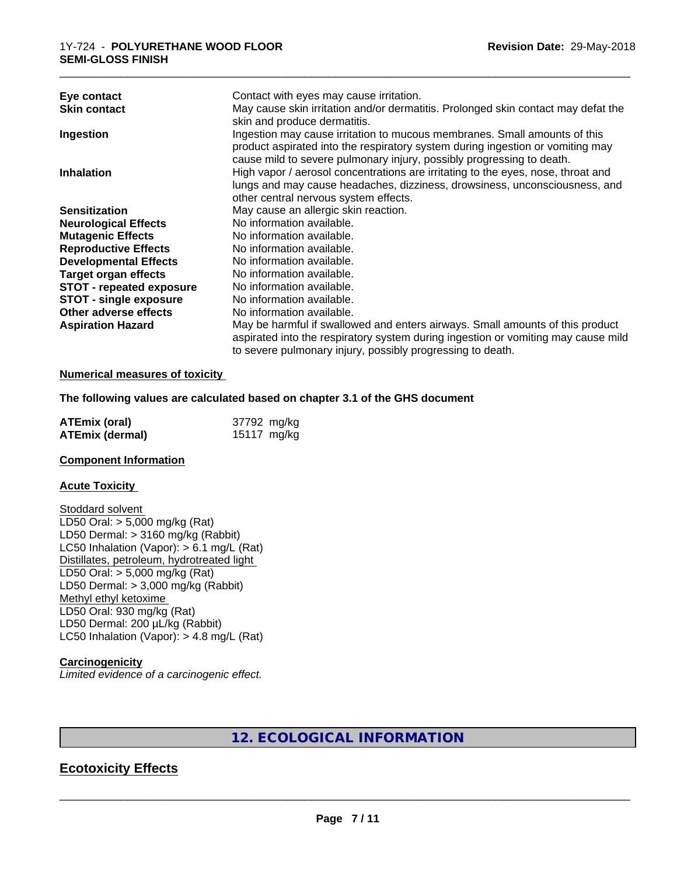| Eye contact                     | Contact with eyes may cause irritation.                                                                                                                                                                                                                                          |
|---------------------------------|----------------------------------------------------------------------------------------------------------------------------------------------------------------------------------------------------------------------------------------------------------------------------------|
| <b>Skin contact</b>             | May cause skin irritation and/or dermatitis. Prolonged skin contact may defat the<br>skin and produce dermatitis.                                                                                                                                                                |
| Ingestion                       | Ingestion may cause irritation to mucous membranes. Small amounts of this<br>product aspirated into the respiratory system during ingestion or vomiting may                                                                                                                      |
| <b>Inhalation</b>               | cause mild to severe pulmonary injury, possibly progressing to death.<br>High vapor / aerosol concentrations are irritating to the eyes, nose, throat and<br>lungs and may cause headaches, dizziness, drowsiness, unconsciousness, and<br>other central nervous system effects. |
| <b>Sensitization</b>            | May cause an allergic skin reaction.                                                                                                                                                                                                                                             |
| <b>Neurological Effects</b>     | No information available.                                                                                                                                                                                                                                                        |
| <b>Mutagenic Effects</b>        | No information available.                                                                                                                                                                                                                                                        |
| <b>Reproductive Effects</b>     | No information available.                                                                                                                                                                                                                                                        |
| <b>Developmental Effects</b>    | No information available.                                                                                                                                                                                                                                                        |
| <b>Target organ effects</b>     | No information available.                                                                                                                                                                                                                                                        |
| <b>STOT - repeated exposure</b> | No information available.                                                                                                                                                                                                                                                        |
| <b>STOT - single exposure</b>   | No information available.                                                                                                                                                                                                                                                        |
| Other adverse effects           | No information available.                                                                                                                                                                                                                                                        |
| <b>Aspiration Hazard</b>        | May be harmful if swallowed and enters airways. Small amounts of this product<br>aspirated into the respiratory system during ingestion or vomiting may cause mild<br>to severe pulmonary injury, possibly progressing to death.                                                 |

#### **Numerical measures of toxicity**

**The following values are calculated based on chapter 3.1 of the GHS document**

| <b>ATEmix (oral)</b> | 37792 mg/kg |
|----------------------|-------------|
| ATEmix (dermal)      | 15117 mg/kg |

#### **Component Information**

#### **Acute Toxicity**

Stoddard solvent LD50 Oral: > 5,000 mg/kg (Rat) LD50 Dermal: > 3160 mg/kg (Rabbit) LC50 Inhalation (Vapor): > 6.1 mg/L (Rat) Distillates, petroleum, hydrotreated light LD50 Oral: > 5,000 mg/kg (Rat) LD50 Dermal: > 3,000 mg/kg (Rabbit) Methyl ethyl ketoxime LD50 Oral: 930 mg/kg (Rat) LD50 Dermal: 200 µL/kg (Rabbit) LC50 Inhalation (Vapor): > 4.8 mg/L (Rat)

#### **Carcinogenicity**

*Limited evidence of a carcinogenic effect.*

# **12. ECOLOGICAL INFORMATION**

# **Ecotoxicity Effects**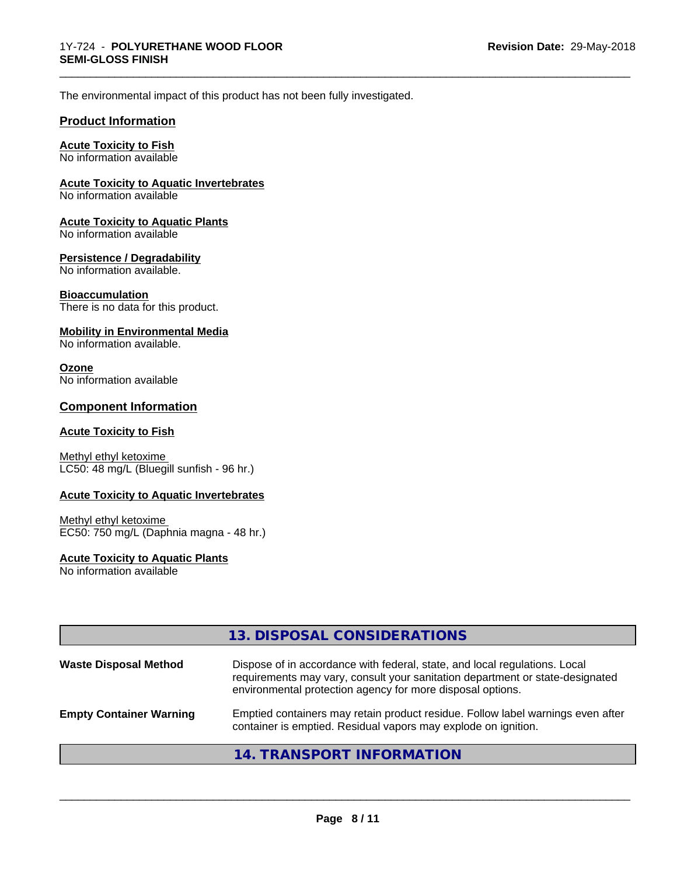\_\_\_\_\_\_\_\_\_\_\_\_\_\_\_\_\_\_\_\_\_\_\_\_\_\_\_\_\_\_\_\_\_\_\_\_\_\_\_\_\_\_\_\_\_\_\_\_\_\_\_\_\_\_\_\_\_\_\_\_\_\_\_\_\_\_\_\_\_\_\_\_\_\_\_\_\_\_\_\_\_\_\_\_\_\_\_\_\_\_\_\_\_

The environmental impact of this product has not been fully investigated.

### **Product Information**

# **Acute Toxicity to Fish**

No information available

#### **Acute Toxicity to Aquatic Invertebrates**

No information available

#### **Acute Toxicity to Aquatic Plants**

No information available

#### **Persistence / Degradability**

No information available.

#### **Bioaccumulation**

There is no data for this product.

#### **Mobility in Environmental Media**

No information available.

#### **Ozone**

No information available

# **Component Information**

## **Acute Toxicity to Fish**

Methyl ethyl ketoxime LC50: 48 mg/L (Bluegill sunfish - 96 hr.)

#### **Acute Toxicity to Aquatic Invertebrates**

#### Methyl ethyl ketoxime EC50: 750 mg/L (Daphnia magna - 48 hr.)

#### **Acute Toxicity to Aquatic Plants**

No information available

|                                | 13. DISPOSAL CONSIDERATIONS                                                                                                                                                                                               |
|--------------------------------|---------------------------------------------------------------------------------------------------------------------------------------------------------------------------------------------------------------------------|
| <b>Waste Disposal Method</b>   | Dispose of in accordance with federal, state, and local regulations. Local<br>requirements may vary, consult your sanitation department or state-designated<br>environmental protection agency for more disposal options. |
| <b>Empty Container Warning</b> | Emptied containers may retain product residue. Follow label warnings even after<br>container is emptied. Residual vapors may explode on ignition.                                                                         |
|                                | 14. TRANSPORT INFORMATION                                                                                                                                                                                                 |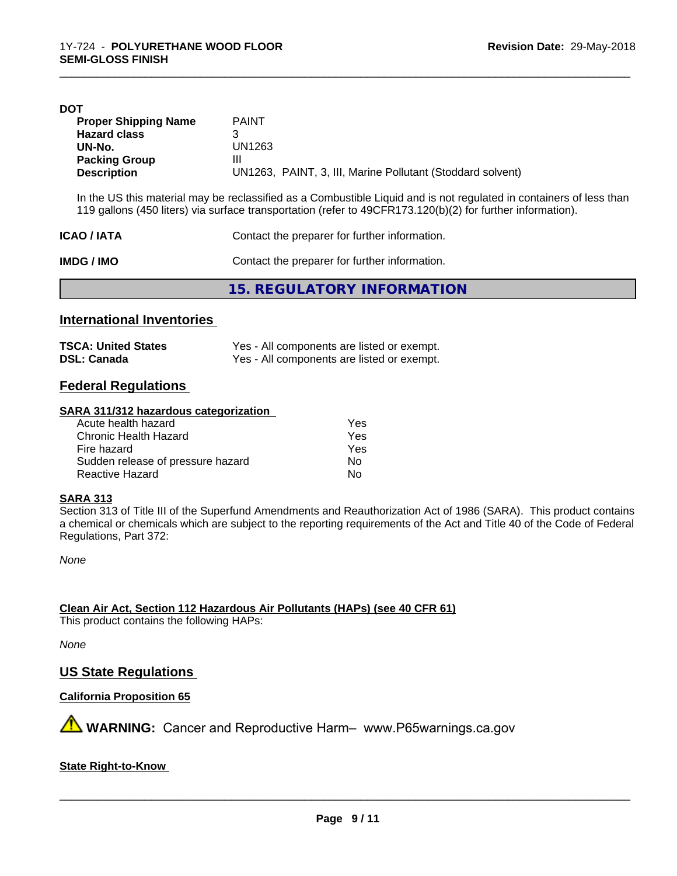| DOT                         |                                                                                                                |
|-----------------------------|----------------------------------------------------------------------------------------------------------------|
| <b>Proper Shipping Name</b> | <b>PAINT</b>                                                                                                   |
| <b>Hazard class</b>         |                                                                                                                |
| UN-No.                      | UN1263                                                                                                         |
| <b>Packing Group</b>        | Ш                                                                                                              |
| <b>Description</b>          | UN1263, PAINT, 3, III, Marine Pollutant (Stoddard solvent)                                                     |
|                             |                                                                                                                |
|                             | In the LIS this material may he reclassified as a Combustible Liquid and is not requisted in containers of les |

In the US this material may be reclassified as a Combustible Liquid and is not regulated in containers of less than 119 gallons (450 liters) via surface transportation (refer to 49CFR173.120(b)(2) for further information).

\_\_\_\_\_\_\_\_\_\_\_\_\_\_\_\_\_\_\_\_\_\_\_\_\_\_\_\_\_\_\_\_\_\_\_\_\_\_\_\_\_\_\_\_\_\_\_\_\_\_\_\_\_\_\_\_\_\_\_\_\_\_\_\_\_\_\_\_\_\_\_\_\_\_\_\_\_\_\_\_\_\_\_\_\_\_\_\_\_\_\_\_\_

| <b>ICAO/IATA</b> | Contact the preparer for further information. |
|------------------|-----------------------------------------------|
| <b>IMDG/IMO</b>  | Contact the preparer for further information. |
|                  | 15. REGULATORY INFORMATION                    |

## **International Inventories**

| <b>TSCA: United States</b> | Yes - All components are listed or exempt. |
|----------------------------|--------------------------------------------|
| <b>DSL: Canada</b>         | Yes - All components are listed or exempt. |

# **Federal Regulations**

#### **SARA 311/312 hazardous categorization**

| Yes |
|-----|
| Yes |
| Yes |
| Nο  |
| N٥  |
|     |

#### **SARA 313**

Section 313 of Title III of the Superfund Amendments and Reauthorization Act of 1986 (SARA). This product contains a chemical or chemicals which are subject to the reporting requirements of the Act and Title 40 of the Code of Federal Regulations, Part 372:

*None*

**Clean Air Act,Section 112 Hazardous Air Pollutants (HAPs) (see 40 CFR 61)**

This product contains the following HAPs:

*None*

#### **US State Regulations**

#### **California Proposition 65**

**WARNING:** Cancer and Reproductive Harm– www.P65warnings.ca.gov

**State Right-to-Know**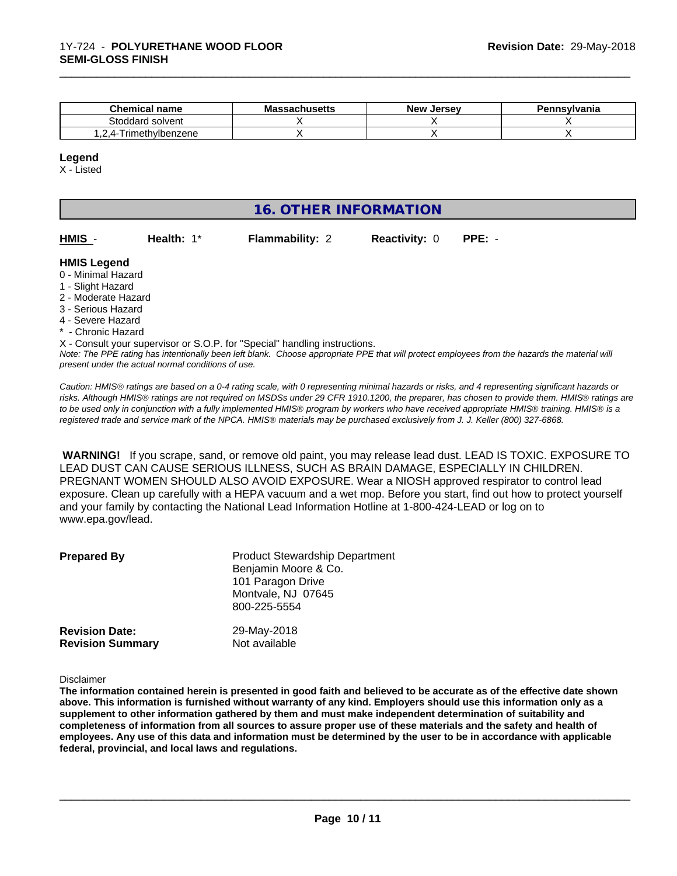| <b>Chemical name</b>                      | . .<br><b>Massachusetts</b> | <b>Jersev</b><br><b>New</b> | Pennsylvania |
|-------------------------------------------|-----------------------------|-----------------------------|--------------|
| Stoddard solvent                          |                             |                             |              |
| - I rimethvlbenzene<br>Δ-<br>. . <u>.</u> |                             |                             |              |

#### **Legend**

X - Listed

# **16. OTHER INFORMATION**

| HMIS |  |
|------|--|
|------|--|

**Health:** 1\* **Flammability: 2 Reactivity: 0 PPE:** -

\_\_\_\_\_\_\_\_\_\_\_\_\_\_\_\_\_\_\_\_\_\_\_\_\_\_\_\_\_\_\_\_\_\_\_\_\_\_\_\_\_\_\_\_\_\_\_\_\_\_\_\_\_\_\_\_\_\_\_\_\_\_\_\_\_\_\_\_\_\_\_\_\_\_\_\_\_\_\_\_\_\_\_\_\_\_\_\_\_\_\_\_\_

#### **HMIS Legend**

- 0 Minimal Hazard
- 1 Slight Hazard
- 2 Moderate Hazard
- 3 Serious Hazard
- 4 Severe Hazard
- \* Chronic Hazard

X - Consult your supervisor or S.O.P. for "Special" handling instructions.

*Note: The PPE rating has intentionally been left blank. Choose appropriate PPE that will protect employees from the hazards the material will present under the actual normal conditions of use.*

*Caution: HMISÒ ratings are based on a 0-4 rating scale, with 0 representing minimal hazards or risks, and 4 representing significant hazards or risks. Although HMISÒ ratings are not required on MSDSs under 29 CFR 1910.1200, the preparer, has chosen to provide them. HMISÒ ratings are to be used only in conjunction with a fully implemented HMISÒ program by workers who have received appropriate HMISÒ training. HMISÒ is a registered trade and service mark of the NPCA. HMISÒ materials may be purchased exclusively from J. J. Keller (800) 327-6868.*

 **WARNING!** If you scrape, sand, or remove old paint, you may release lead dust. LEAD IS TOXIC. EXPOSURE TO LEAD DUST CAN CAUSE SERIOUS ILLNESS, SUCH AS BRAIN DAMAGE, ESPECIALLY IN CHILDREN. PREGNANT WOMEN SHOULD ALSO AVOID EXPOSURE.Wear a NIOSH approved respirator to control lead exposure. Clean up carefully with a HEPA vacuum and a wet mop. Before you start, find out how to protect yourself and your family by contacting the National Lead Information Hotline at 1-800-424-LEAD or log on to www.epa.gov/lead.

| <b>Prepared By</b>      | <b>Product Stewardship Department</b><br>Benjamin Moore & Co.<br>101 Paragon Drive<br>Montvale, NJ 07645<br>800-225-5554 |
|-------------------------|--------------------------------------------------------------------------------------------------------------------------|
| <b>Revision Date:</b>   | 29-May-2018                                                                                                              |
| <b>Revision Summary</b> | Not available                                                                                                            |

Disclaimer

The information contained herein is presented in good faith and believed to be accurate as of the effective date shown above. This information is furnished without warranty of any kind. Employers should use this information only as a **supplement to other information gathered by them and must make independent determination of suitability and** completeness of information from all sources to assure proper use of these materials and the safety and health of employees. Any use of this data and information must be determined by the user to be in accordance with applicable **federal, provincial, and local laws and regulations.**